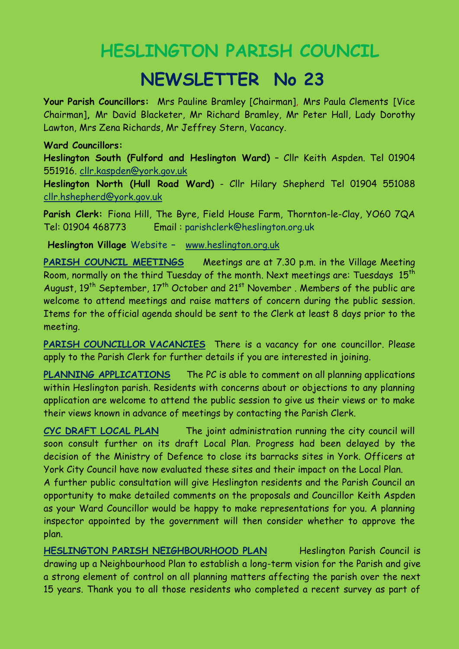## **HESLINGTON PARISH COUNCIL**

## **NEWSLETTER No 23**

**Your Parish Councillors:** Mrs Pauline Bramley [Chairman], Mrs Paula Clements [Vice Chairman]**,** Mr David Blacketer, Mr Richard Bramley, Mr Peter Hall, Lady Dorothy Lawton, Mrs Zena Richards, Mr Jeffrey Stern, Vacancy.

## **Ward Councillors:**

**Heslington South (Fulford and Heslington Ward)** – Cllr Keith Aspden. Tel 01904 551916. [cllr.kaspden@york.gov.uk](mailto:cllr.kaspden@york.gov.uk)

**Heslington North (Hull Road Ward)** - Cllr Hilary Shepherd Tel 01904 551088 [cllr.hshepherd@york.gov.uk](mailto:cllr.hshepherd@york.gov.uk)

**Parish Clerk:** Fiona Hill, The Byre, Field House Farm, Thornton-le-Clay, YO60 7QA Tel: 01904 468773 Email : parishclerk@heslington.org.uk

**Heslington Village** Website **–** [www.heslington.org.uk](http://www.heslington.org.uk/)

**PARISH COUNCIL MEETINGS** Meetings are at 7.30 p.m. in the Village Meeting Room, normally on the third Tuesday of the month. Next meetings are: Tuesdays  $15<sup>th</sup>$ August,  $19<sup>th</sup>$  September,  $17<sup>th</sup>$  October and  $21<sup>st</sup>$  November. Members of the public are welcome to attend meetings and raise matters of concern during the public session. Items for the official agenda should be sent to the Clerk at least 8 days prior to the meeting.

PARISH COUNCILLOR VACANCIES There is a vacancy for one councillor. Please apply to the Parish Clerk for further details if you are interested in joining.

**PLANNING APPLICATIONS** The PC is able to comment on all planning applications within Heslington parish. Residents with concerns about or objections to any planning application are welcome to attend the public session to give us their views or to make their views known in advance of meetings by contacting the Parish Clerk.

**CYC DRAFT LOCAL PLAN** The joint administration running the city council will soon consult further on its draft Local Plan. Progress had been delayed by the decision of the Ministry of Defence to close its barracks sites in York. Officers at York City Council have now evaluated these sites and their impact on the Local Plan.

A further public consultation will give Heslington residents and the Parish Council an opportunity to make detailed comments on the proposals and Councillor Keith Aspden as your Ward Councillor would be happy to make representations for you. A planning inspector appointed by the government will then consider whether to approve the plan.

**HESLINGTON PARISH NEIGHBOURHOOD PLAN** Heslington Parish Council is drawing up a Neighbourhood Plan to establish a long-term vision for the Parish and give a strong element of control on all planning matters affecting the parish over the next 15 years. Thank you to all those residents who completed a recent survey as part of